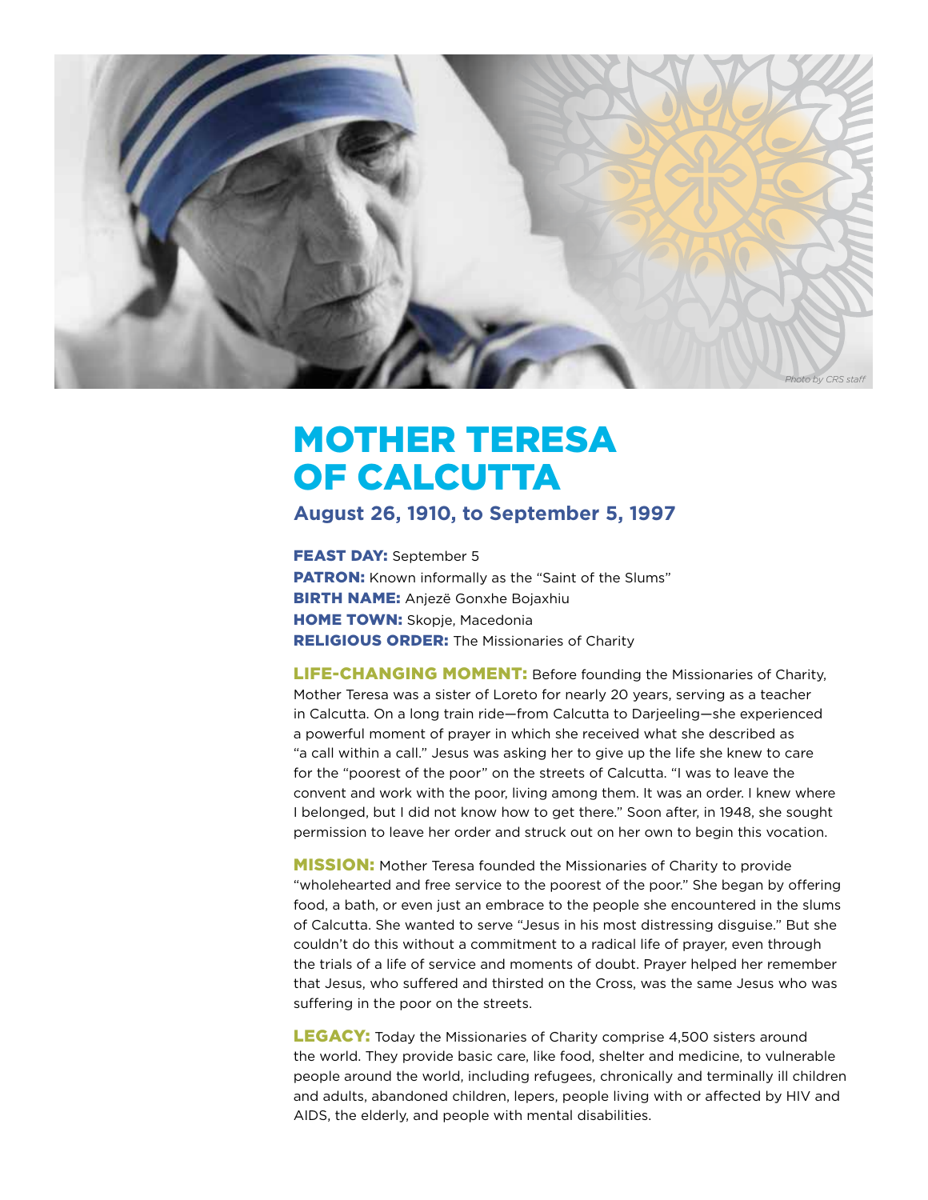

## MOTHER TERESA OF CALCUTTA

## **August 26, 1910, to September 5, 1997**

FEAST DAY: September 5 **PATRON:** Known informally as the "Saint of the Slums" **BIRTH NAME:** Anjezë Gonxhe Bojaxhiu **HOME TOWN: Skopje, Macedonia RELIGIOUS ORDER:** The Missionaries of Charity

LIFE-CHANGING MOMENT: Before founding the Missionaries of Charity, Mother Teresa was a sister of Loreto for nearly 20 years, serving as a teacher in Calcutta. On a long train ride—from Calcutta to Darjeeling—she experienced a powerful moment of prayer in which she received what she described as "a call within a call." Jesus was asking her to give up the life she knew to care for the "poorest of the poor" on the streets of Calcutta. "I was to leave the convent and work with the poor, living among them. It was an order. I knew where I belonged, but I did not know how to get there." Soon after, in 1948, she sought permission to leave her order and struck out on her own to begin this vocation.

**MISSION:** Mother Teresa founded the Missionaries of Charity to provide "wholehearted and free service to the poorest of the poor." She began by offering food, a bath, or even just an embrace to the people she encountered in the slums of Calcutta. She wanted to serve "Jesus in his most distressing disguise." But she couldn't do this without a commitment to a radical life of prayer, even through the trials of a life of service and moments of doubt. Prayer helped her remember that Jesus, who suffered and thirsted on the Cross, was the same Jesus who was suffering in the poor on the streets.

**LEGACY:** Today the Missionaries of Charity comprise 4,500 sisters around the world. They provide basic care, like food, shelter and medicine, to vulnerable people around the world, including refugees, chronically and terminally ill children and adults, abandoned children, lepers, people living with or affected by HIV and AIDS, the elderly, and people with mental disabilities.